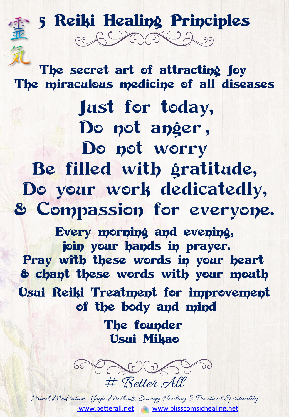5 Reiki Healing Principles ce SCOR 200

The secret art of attracting Joy The miraculous medicine of all diseases

Just for today, Do not anger , Do not worry Be filled with gratitude, Do your work dedicatedly, & Compassion for everyone.

Every morning and evening, join your hands in prayer. Pray with these words in your heart & chant these words with your mouth Usui Reiki Treatment for improvement

of the body and mind

The founder Usui Mikao



Mind, Meditation , Yogic Methods, Energy Healing & Practical Spirituality [www.betterall.net](http://www.betterall.net/) [www.blisscomsichealing.net](http://www.blisscomsichealing.net/)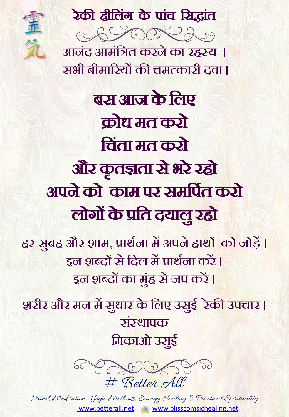## रेकी हीलिंग के पांच सिद्धांत



आनिंद आमिंलित करन े क रहस्य । सभी बीमारियों की चमत्कारी दवा।

बस आज के लिए क्रोध मत करो लचिंत मत करो और क ृ तज्ञत िे भरे रहो अपने को काम पर समर्पित करो लोगों के प्रति दयालु रहो

<u>हर स्रुबह और शाम, प्रार्थना में अपने हाथों को जोड़ें ।</u> <u>इन शब्दों से दिल में प्रार्थना करें |</u> इन शब्दों का मुंह से जप करें <mark>।</mark>

शरीर और मन में सुधार के लिए उसुई रेकी उपचार **।** संस्थापक मिकाओ उसुई



Mind, Meditation , Yogic Methods, Energy Healing & Practical Spirituality [www.betterall.net](http://www.betterall.net/) [www.blisscomsichealing.net](http://www.blisscomsichealing.net/)